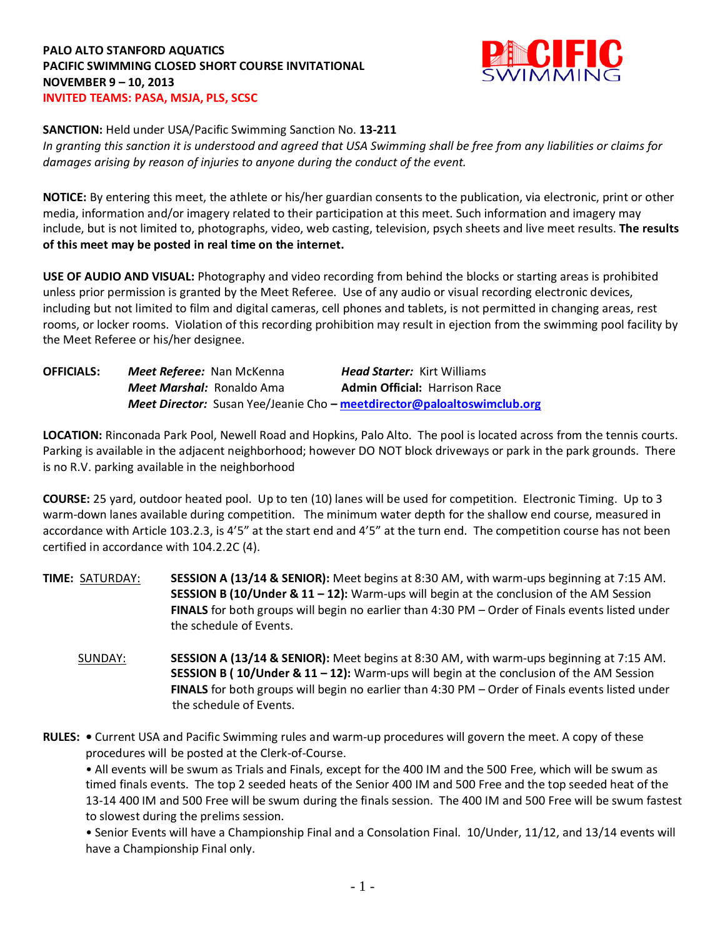## **PALO ALTO STANFORD AQUATICS PACIFIC SWIMMING CLOSED SHORT COURSE INVITATIONAL NOVEMBER 9 – 10, 2013 INVITED TEAMS: PASA, MSJA, PLS, SCSC**



#### **SANCTION:** Held under USA/Pacific Swimming Sanction No. **13-211**

*In granting this sanction it is understood and agreed that USA Swimming shall be free from any liabilities or claims for damages arising by reason of injuries to anyone during the conduct of the event.*

**NOTICE:** By entering this meet, the athlete or his/her guardian consents to the publication, via electronic, print or other media, information and/or imagery related to their participation at this meet. Such information and imagery may include, but is not limited to, photographs, video, web casting, television, psych sheets and live meet results. **The results of this meet may be posted in real time on the internet.**

**USE OF AUDIO AND VISUAL:** Photography and video recording from behind the blocks or starting areas is prohibited unless prior permission is granted by the Meet Referee. Use of any audio or visual recording electronic devices, including but not limited to film and digital cameras, cell phones and tablets, is not permitted in changing areas, rest rooms, or locker rooms. Violation of this recording prohibition may result in ejection from the swimming pool facility by the Meet Referee or his/her designee.

| <b>OFFICIALS:</b> | <b>Meet Referee:</b> Nan McKenna |                                                                         | <b>Head Starter:</b> Kirt Williams   |  |
|-------------------|----------------------------------|-------------------------------------------------------------------------|--------------------------------------|--|
|                   | <b>Meet Marshal:</b> Ronaldo Ama |                                                                         | <b>Admin Official: Harrison Race</b> |  |
|                   |                                  | Meet Director: Susan Yee/Jeanie Cho - meetdirector@paloaltoswimclub.org |                                      |  |

**LOCATION:** Rinconada Park Pool, Newell Road and Hopkins, Palo Alto. The pool is located across from the tennis courts. Parking is available in the adjacent neighborhood; however DO NOT block driveways or park in the park grounds. There is no R.V. parking available in the neighborhood

**COURSE:** 25 yard, outdoor heated pool. Up to ten (10) lanes will be used for competition. Electronic Timing. Up to 3 warm-down lanes available during competition. The minimum water depth for the shallow end course, measured in accordance with Article 103.2.3, is 4'5" at the start end and 4'5" at the turn end. The competition course has not been certified in accordance with 104.2.2C (4).

- **TIME:** SATURDAY: **SESSION A (13/14 & SENIOR):** Meet begins at 8:30 AM, with warm-ups beginning at 7:15 AM. **SESSION B (10/Under & 11 – 12):** Warm-ups will begin at the conclusion of the AM Session **FINALS** for both groups will begin no earlier than 4:30 PM – Order of Finals events listed under the schedule of Events.
	- SUNDAY: **SESSION A (13/14 & SENIOR):** Meet begins at 8:30 AM, with warm-ups beginning at 7:15 AM. **SESSION B ( 10/Under & 11 – 12):** Warm-ups will begin at the conclusion of the AM Session **FINALS** for both groups will begin no earlier than 4:30 PM – Order of Finals events listed under the schedule of Events.
- **RULES:** Current USA and Pacific Swimming rules and warm-up procedures will govern the meet. A copy of these procedures will be posted at the Clerk-of-Course.

• All events will be swum as Trials and Finals, except for the 400 IM and the 500 Free, which will be swum as timed finals events. The top 2 seeded heats of the Senior 400 IM and 500 Free and the top seeded heat of the 13-14 400 IM and 500 Free will be swum during the finals session. The 400 IM and 500 Free will be swum fastest to slowest during the prelims session.

• Senior Events will have a Championship Final and a Consolation Final. 10/Under, 11/12, and 13/14 events will have a Championship Final only.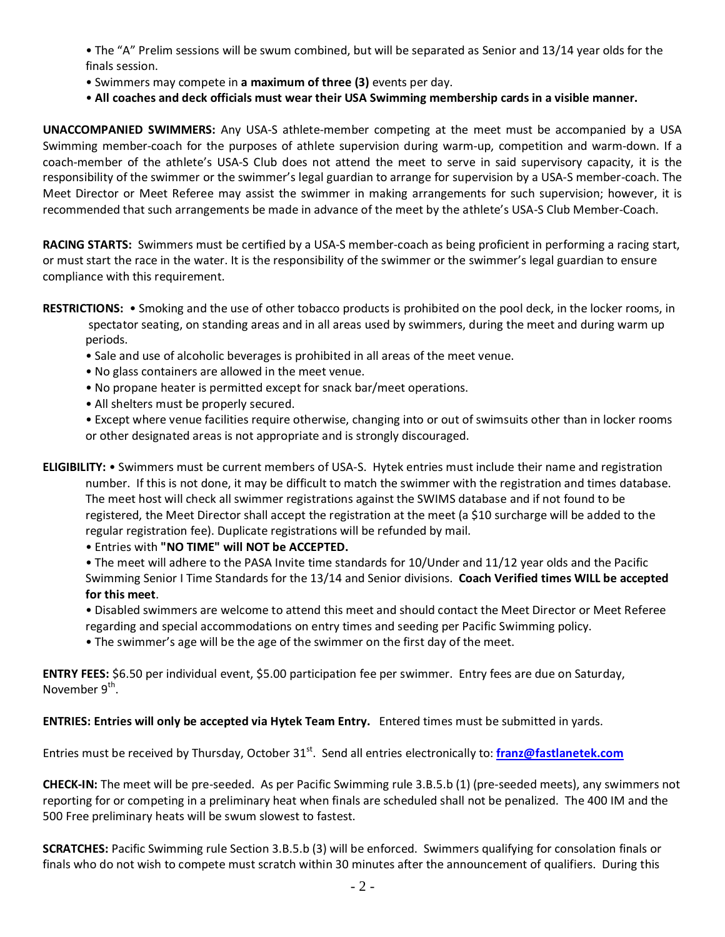• The "A" Prelim sessions will be swum combined, but will be separated as Senior and 13/14 year olds for the finals session.

- Swimmers may compete in **a maximum of three (3)** events per day.
- **All coaches and deck officials must wear their USA Swimming membership cards in a visible manner.**

**UNACCOMPANIED SWIMMERS:** Any USA-S athlete-member competing at the meet must be accompanied by a USA Swimming member-coach for the purposes of athlete supervision during warm-up, competition and warm-down. If a coach-member of the athlete's USA-S Club does not attend the meet to serve in said supervisory capacity, it is the responsibility of the swimmer or the swimmer's legal guardian to arrange for supervision by a USA-S member-coach. The Meet Director or Meet Referee may assist the swimmer in making arrangements for such supervision; however, it is recommended that such arrangements be made in advance of the meet by the athlete's USA-S Club Member-Coach.

**RACING STARTS:** Swimmers must be certified by a USA-S member-coach as being proficient in performing a racing start, or must start the race in the water. It is the responsibility of the swimmer or the swimmer's legal guardian to ensure compliance with this requirement.

- **RESTRICTIONS:** Smoking and the use of other tobacco products is prohibited on the pool deck, in the locker rooms, in spectator seating, on standing areas and in all areas used by swimmers, during the meet and during warm up periods.
	- Sale and use of alcoholic beverages is prohibited in all areas of the meet venue.
	- No glass containers are allowed in the meet venue.
	- No propane heater is permitted except for snack bar/meet operations.
	- All shelters must be properly secured.

• Except where venue facilities require otherwise, changing into or out of swimsuits other than in locker rooms or other designated areas is not appropriate and is strongly discouraged.

**ELIGIBILITY:** • Swimmers must be current members of USA-S. Hytek entries must include their name and registration number. If this is not done, it may be difficult to match the swimmer with the registration and times database. The meet host will check all swimmer registrations against the SWIMS database and if not found to be registered, the Meet Director shall accept the registration at the meet (a \$10 surcharge will be added to the regular registration fee). Duplicate registrations will be refunded by mail.

• Entries with **"NO TIME" will NOT be ACCEPTED.**

• The meet will adhere to the PASA Invite time standards for 10/Under and 11/12 year olds and the Pacific Swimming Senior I Time Standards for the 13/14 and Senior divisions. **Coach Verified times WILL be accepted for this meet**.

• Disabled swimmers are welcome to attend this meet and should contact the Meet Director or Meet Referee regarding and special accommodations on entry times and seeding per Pacific Swimming policy.

• The swimmer's age will be the age of the swimmer on the first day of the meet.

**ENTRY FEES:** \$6.50 per individual event, \$5.00 participation fee per swimmer. Entry fees are due on Saturday, November  $9<sup>th</sup>$ .

**ENTRIES: Entries will only be accepted via Hytek Team Entry.** Entered times must be submitted in yards.

Entries must be received by Thursday, October 31<sup>st</sup>. Send all entries electronically to: **[franz@fastlanetek.com](mailto:franz@fastlanetek.com)** 

**CHECK-IN:** The meet will be pre-seeded. As per Pacific Swimming rule 3.B.5.b (1) (pre-seeded meets), any swimmers not reporting for or competing in a preliminary heat when finals are scheduled shall not be penalized. The 400 IM and the 500 Free preliminary heats will be swum slowest to fastest.

**SCRATCHES:** Pacific Swimming rule Section 3.B.5.b (3) will be enforced. Swimmers qualifying for consolation finals or finals who do not wish to compete must scratch within 30 minutes after the announcement of qualifiers. During this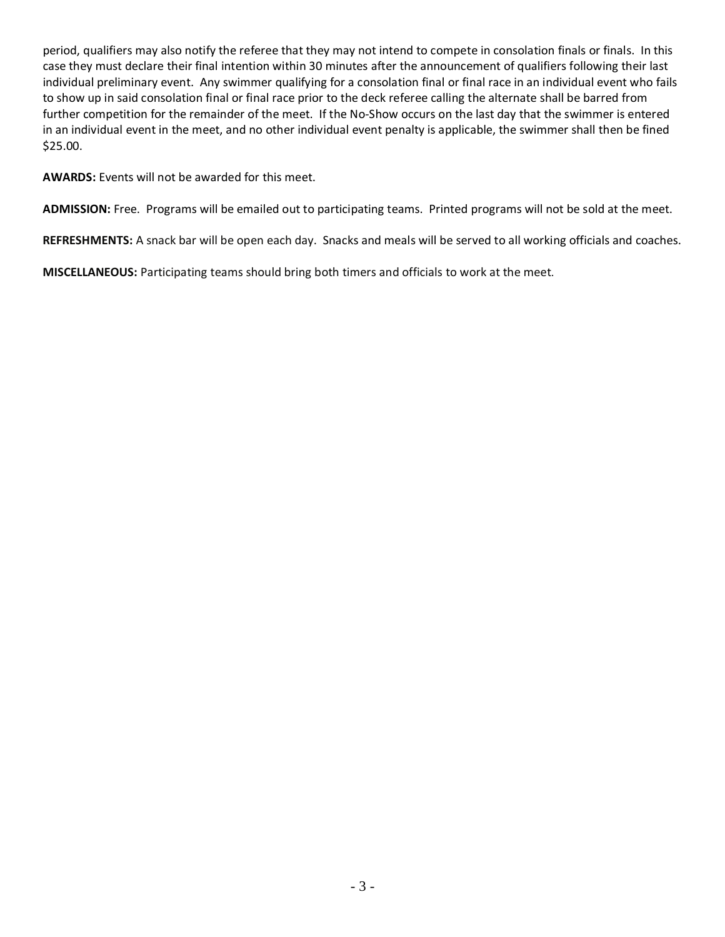period, qualifiers may also notify the referee that they may not intend to compete in consolation finals or finals. In this case they must declare their final intention within 30 minutes after the announcement of qualifiers following their last individual preliminary event. Any swimmer qualifying for a consolation final or final race in an individual event who fails to show up in said consolation final or final race prior to the deck referee calling the alternate shall be barred from further competition for the remainder of the meet. If the No-Show occurs on the last day that the swimmer is entered in an individual event in the meet, and no other individual event penalty is applicable, the swimmer shall then be fined \$25.00.

**AWARDS:** Events will not be awarded for this meet.

**ADMISSION:** Free. Programs will be emailed out to participating teams. Printed programs will not be sold at the meet.

**REFRESHMENTS:** A snack bar will be open each day. Snacks and meals will be served to all working officials and coaches.

**MISCELLANEOUS:** Participating teams should bring both timers and officials to work at the meet.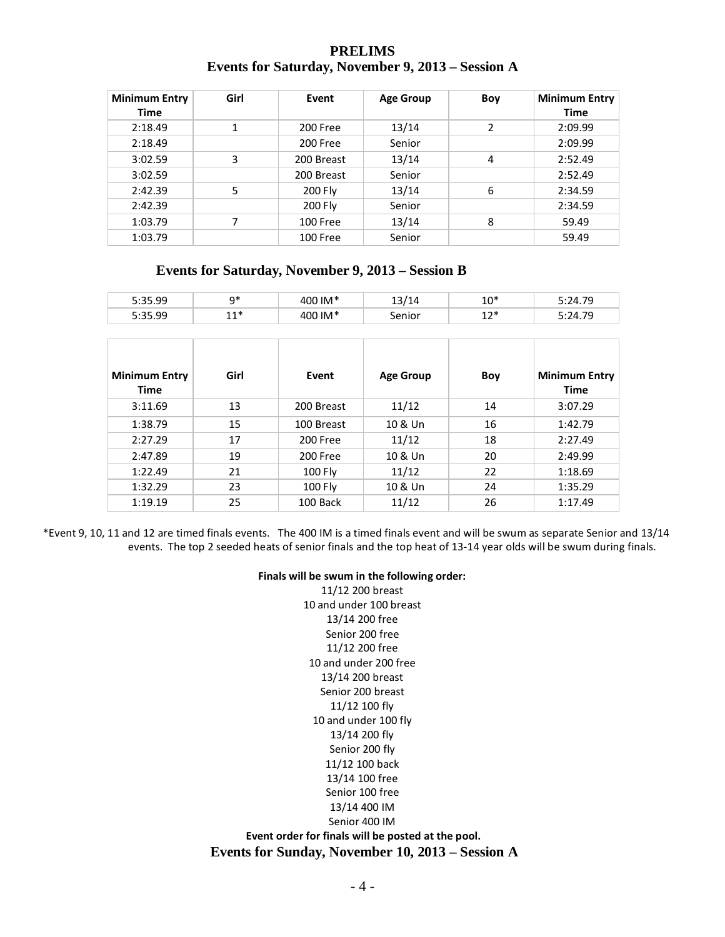## **PRELIMS Events for Saturday, November 9, 2013 – Session A**

| <b>Minimum Entry</b><br>Time | Girl | Event      | <b>Age Group</b> | Boy | <b>Minimum Entry</b><br><b>Time</b> |
|------------------------------|------|------------|------------------|-----|-------------------------------------|
| 2:18.49                      | 1    | 200 Free   | 13/14            | 2   | 2:09.99                             |
| 2:18.49                      |      | 200 Free   | Senior           |     | 2:09.99                             |
| 3:02.59                      | 3    | 200 Breast | 13/14            | 4   | 2:52.49                             |
| 3:02.59                      |      | 200 Breast | Senior           |     | 2:52.49                             |
| 2:42.39                      | 5    | 200 Fly    | 13/14            | 6   | 2:34.59                             |
| 2:42.39                      |      | 200 Fly    | Senior           |     | 2:34.59                             |
| 1:03.79                      | 7    | 100 Free   | 13/14            | 8   | 59.49                               |
| 1:03.79                      |      | 100 Free   | Senior           |     | 59.49                               |

## **Events for Saturday, November 9, 2013 – Session B**

| 5:35.99              | $q*$  | 400 IM*    | 13/14            | $10*$ | 5:24.79              |
|----------------------|-------|------------|------------------|-------|----------------------|
| 5:35.99              | $11*$ | 400 IM*    | Senior           | $12*$ | 5:24.79              |
|                      |       |            |                  |       |                      |
| <b>Minimum Entry</b> | Girl  | Event      | <b>Age Group</b> | Boy   | <b>Minimum Entry</b> |
| Time                 |       |            |                  |       | <b>Time</b>          |
| 3:11.69              | 13    | 200 Breast | 11/12            | 14    | 3:07.29              |
| 1:38.79              | 15    | 100 Breast | 10 & Un          | 16    | 1:42.79              |
| 2:27.29              | 17    | 200 Free   | 11/12            | 18    | 2:27.49              |
| 2:47.89              | 19    | 200 Free   | 10 & Un          | 20    | 2:49.99              |
| 1:22.49              | 21    | 100 Fly    | 11/12            | 22    | 1:18.69              |
| 1:32.29              | 23    | 100 Fly    | 10 & Un          | 24    | 1:35.29              |
| 1:19.19              | 25    | 100 Back   | 11/12            | 26    | 1:17.49              |

\*Event 9, 10, 11 and 12 are timed finals events. The 400 IM is a timed finals event and will be swum as separate Senior and 13/14 events. The top 2 seeded heats of senior finals and the top heat of 13-14 year olds will be swum during finals.

#### **Finals will be swum in the following order:**

11/12 200 breast 10 and under 100 breast 13/14 200 free Senior 200 free 11/12 200 free 10 and under 200 free 13/14 200 breast Senior 200 breast 11/12 100 fly 10 and under 100 fly 13/14 200 fly Senior 200 fly 11/12 100 back 13/14 100 free Senior 100 free 13/14 400 IM Senior 400 IM

**Event order for finals will be posted at the pool. Events for Sunday, November 10, 2013 – Session A**